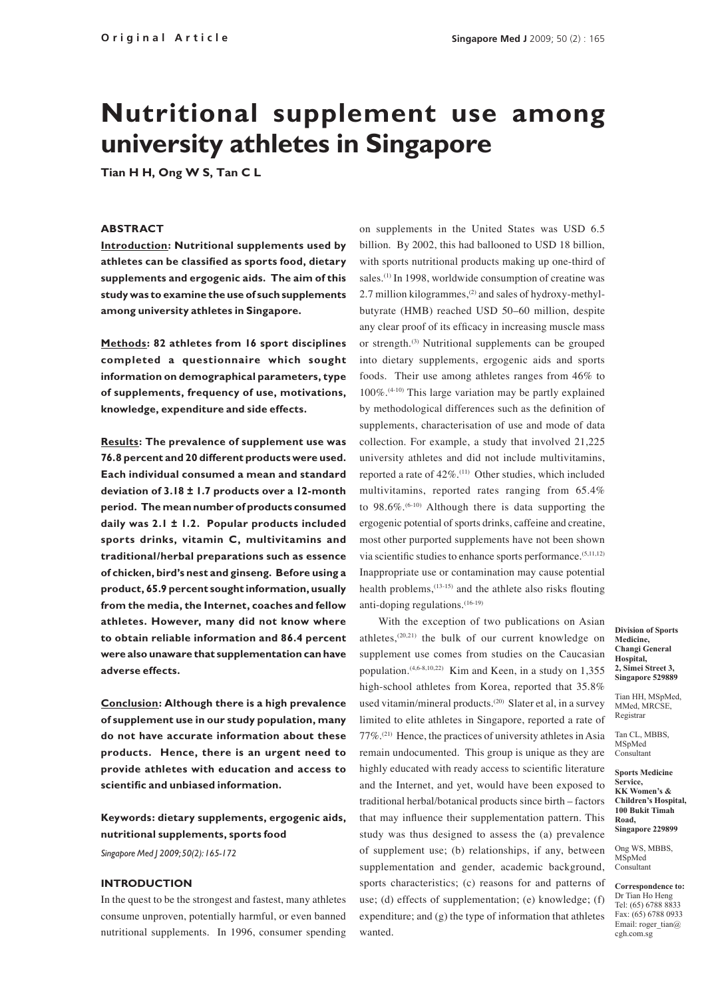# **Nutritional supplement use among university athletes in Singapore**

**Tian H H, Ong W S, Tan C L**

### **ABSTRACT**

**Introduction: Nutritional supplements used by athletes can be classified as sports food, dietary supplements and ergogenic aids. The aim of this study was to examine the use of such supplements among university athletes in Singapore.** 

**Methods: 82 athletes from 16 sport disciplines completed a questionnaire which sought information on demographical parameters, type of supplements, frequency of use, motivations, knowledge, expenditure and side effects.** 

**Results: The prevalence of supplement use was 76.8 percent and 20 different products were used. Each individual consumed a mean and standard deviation of 3.18 ± 1.7 products over a 12-month period. The mean number of products consumed daily was 2.1 ± 1.2. Popular products included sports drinks, vitamin C, multivitamins and traditional/herbal preparations such as essence of chicken, bird's nest and ginseng. Before using a product, 65.9 percent sought information, usually from the media, the Internet, coaches and fellow athletes. However, many did not know where to obtain reliable information and 86.4 percent were also unaware that supplementation can have adverse effects.** 

**Conclusion: Although there is a high prevalence of supplement use in our study population, many do not have accurate information about these products. Hence, there is an urgent need to provide athletes with education and access to scientific and unbiased information.**

# **Keywords: dietary supplements, ergogenic aids, nutritional supplements, sports food**

*Singapore Med J 2009; 50(2): 165-172*

#### **Introduction**

In the quest to be the strongest and fastest, many athletes consume unproven, potentially harmful, or even banned nutritional supplements. In 1996, consumer spending

on supplements in the United States was USD 6.5 billion. By 2002, this had ballooned to USD 18 billion, with sports nutritional products making up one-third of sales.<sup>(1)</sup> In 1998, worldwide consumption of creatine was 2.7 million kilogrammes,<sup>(2)</sup> and sales of hydroxy-methylbutyrate (HMB) reached USD 50–60 million, despite any clear proof of its efficacy in increasing muscle mass or strength.(3) Nutritional supplements can be grouped into dietary supplements, ergogenic aids and sports foods. Their use among athletes ranges from 46% to 100%.(4-10) This large variation may be partly explained by methodological differences such as the definition of supplements, characterisation of use and mode of data collection. For example, a study that involved 21,225 university athletes and did not include multivitamins, reported a rate of 42%.(11) Other studies, which included multivitamins, reported rates ranging from 65.4% to 98.6%.(6-10) Although there is data supporting the ergogenic potential of sports drinks, caffeine and creatine, most other purported supplements have not been shown via scientific studies to enhance sports performance.(5,11,12) Inappropriate use or contamination may cause potential health problems,(13-15) and the athlete also risks flouting anti-doping regulations.<sup>(16-19)</sup>

With the exception of two publications on Asian athletes,(20,21) the bulk of our current knowledge on supplement use comes from studies on the Caucasian population.(4,6-8,10,22) Kim and Keen, in a study on 1,355 high-school athletes from Korea, reported that 35.8% used vitamin/mineral products.<sup>(20)</sup> Slater et al, in a survey limited to elite athletes in Singapore, reported a rate of 77%.(21) Hence, the practices of university athletes in Asia remain undocumented. This group is unique as they are highly educated with ready access to scientific literature and the Internet, and yet, would have been exposed to traditional herbal/botanical products since birth – factors that may influence their supplementation pattern. This study was thus designed to assess the (a) prevalence of supplement use; (b) relationships, if any, between supplementation and gender, academic background, sports characteristics; (c) reasons for and patterns of use; (d) effects of supplementation; (e) knowledge; (f) expenditure; and (g) the type of information that athletes wanted.

**Division of Sports Medicine, Changi General Hospital, 2, Simei Street 3, Singapore 529889**

Tian HH, MSpMed, MMed, MRCSE, Registrar

Tan CL, MBBS, MSpMed Consultant

**Sports Medicine Service, KK Women's & Children's Hospital, 100 Bukit Timah Road, Singapore 229899**

Ong WS, MBBS, MSpMed Consultant

**Correspondence to:** Dr Tian Ho Heng Tel: (65) 6788 8833 Fax: (65) 6788 0933 Email: roger\_tian@ cgh.com.sg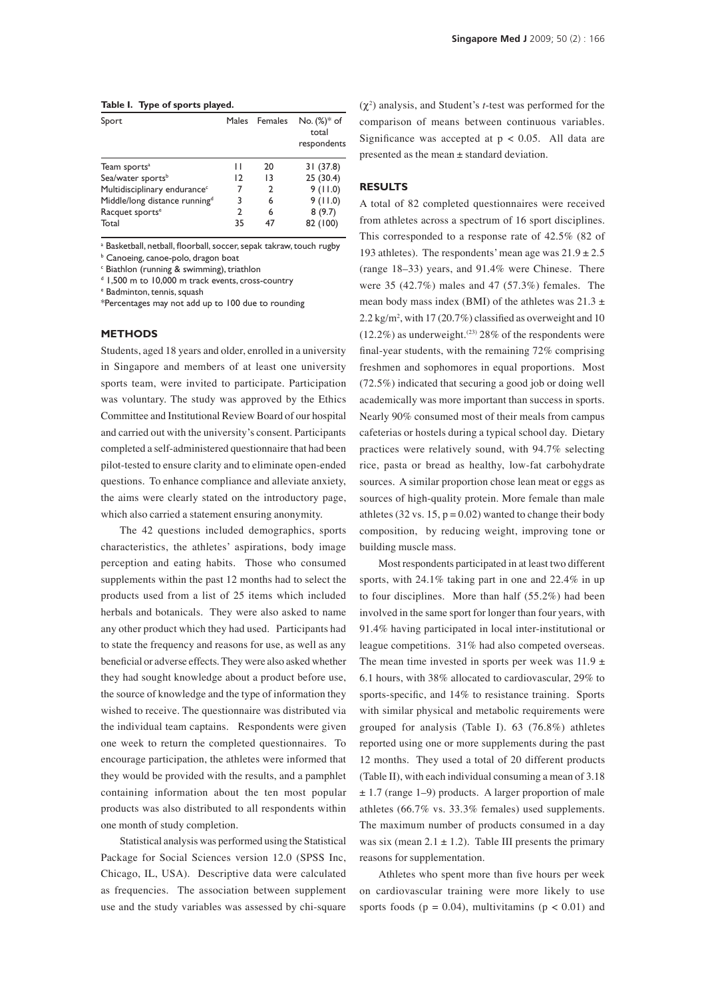#### **Table I. Type of sports played.**

| Sport                                     |               | Males Females | $No. (%)^* of$<br>total<br>respondents |
|-------------------------------------------|---------------|---------------|----------------------------------------|
| Team sports <sup>a</sup>                  | Н             | 20            | 31 (37.8)                              |
| Sea/water sports <sup>b</sup>             | 12            | 13            | 25(30.4)                               |
| Multidisciplinary endurance <sup>c</sup>  | 7             | 2             | 9(11.0)                                |
| Middle/long distance running <sup>d</sup> | 3             | 6             | 9(11.0)                                |
| Racquet sports <sup>e</sup>               | $\mathcal{P}$ | 6             | 8(9.7)                                 |
| Total                                     | 35            |               | 82 (100)                               |

<sup>a</sup> Basketball, netball, floorball, soccer, sepak takraw, touch rugby

**b** Canoeing, canoe-polo, dragon boat

<sup>c</sup> Biathlon (running & swimming), triathlon

<sup>d</sup> 1,500 m to 10,000 m track events, cross-country

e Badminton, tennis, squash

\*Percentages may not add up to 100 due to rounding

#### **Methods**

Students, aged 18 years and older, enrolled in a university in Singapore and members of at least one university sports team, were invited to participate. Participation was voluntary. The study was approved by the Ethics Committee and Institutional Review Board of our hospital and carried out with the university's consent. Participants completed a self-administered questionnaire that had been pilot-tested to ensure clarity and to eliminate open-ended questions. To enhance compliance and alleviate anxiety, the aims were clearly stated on the introductory page, which also carried a statement ensuring anonymity.

The 42 questions included demographics, sports characteristics, the athletes' aspirations, body image perception and eating habits. Those who consumed supplements within the past 12 months had to select the products used from a list of 25 items which included herbals and botanicals. They were also asked to name any other product which they had used. Participants had to state the frequency and reasons for use, as well as any beneficial or adverse effects. They were also asked whether they had sought knowledge about a product before use, the source of knowledge and the type of information they wished to receive. The questionnaire was distributed via the individual team captains. Respondents were given one week to return the completed questionnaires. To encourage participation, the athletes were informed that they would be provided with the results, and a pamphlet containing information about the ten most popular products was also distributed to all respondents within one month of study completion.

Statistical analysis was performed using the Statistical Package for Social Sciences version 12.0 (SPSS Inc, Chicago, IL, USA). Descriptive data were calculated as frequencies. The association between supplement use and the study variables was assessed by chi-square

 $(\chi^2)$  analysis, and Student's *t*-test was performed for the comparison of means between continuous variables. Significance was accepted at  $p < 0.05$ . All data are presented as the mean ± standard deviation.

## **Results**

A total of 82 completed questionnaires were received from athletes across a spectrum of 16 sport disciplines. This corresponded to a response rate of 42.5% (82 of 193 athletes). The respondents' mean age was  $21.9 \pm 2.5$ (range 18–33) years, and 91.4% were Chinese. There were 35 (42.7%) males and 47 (57.3%) females. The mean body mass index (BMI) of the athletes was  $21.3 \pm$  $2.2 \text{ kg/m}^2$ , with 17 (20.7%) classified as overweight and 10  $(12.2\%)$  as underweight.<sup>(23)</sup> 28% of the respondents were final-year students, with the remaining 72% comprising freshmen and sophomores in equal proportions. Most (72.5%) indicated that securing a good job or doing well academically was more important than success in sports. Nearly 90% consumed most of their meals from campus cafeterias or hostels during a typical school day. Dietary practices were relatively sound, with 94.7% selecting rice, pasta or bread as healthy, low-fat carbohydrate sources. A similar proportion chose lean meat or eggs as sources of high-quality protein. More female than male athletes (32 vs. 15,  $p = 0.02$ ) wanted to change their body composition, by reducing weight, improving tone or building muscle mass.

Most respondents participated in at least two different sports, with 24.1% taking part in one and 22.4% in up to four disciplines. More than half (55.2%) had been involved in the same sport for longer than four years, with 91.4% having participated in local inter-institutional or league competitions. 31% had also competed overseas. The mean time invested in sports per week was  $11.9 \pm 10^{-1}$ 6.1 hours, with 38% allocated to cardiovascular, 29% to sports-specific, and 14% to resistance training. Sports with similar physical and metabolic requirements were grouped for analysis (Table I). 63 (76.8%) athletes reported using one or more supplements during the past 12 months. They used a total of 20 different products (Table II), with each individual consuming a mean of 3.18  $\pm$  1.7 (range 1–9) products. A larger proportion of male athletes (66.7% vs. 33.3% females) used supplements. The maximum number of products consumed in a day was six (mean  $2.1 \pm 1.2$ ). Table III presents the primary reasons for supplementation.

Athletes who spent more than five hours per week on cardiovascular training were more likely to use sports foods ( $p = 0.04$ ), multivitamins ( $p < 0.01$ ) and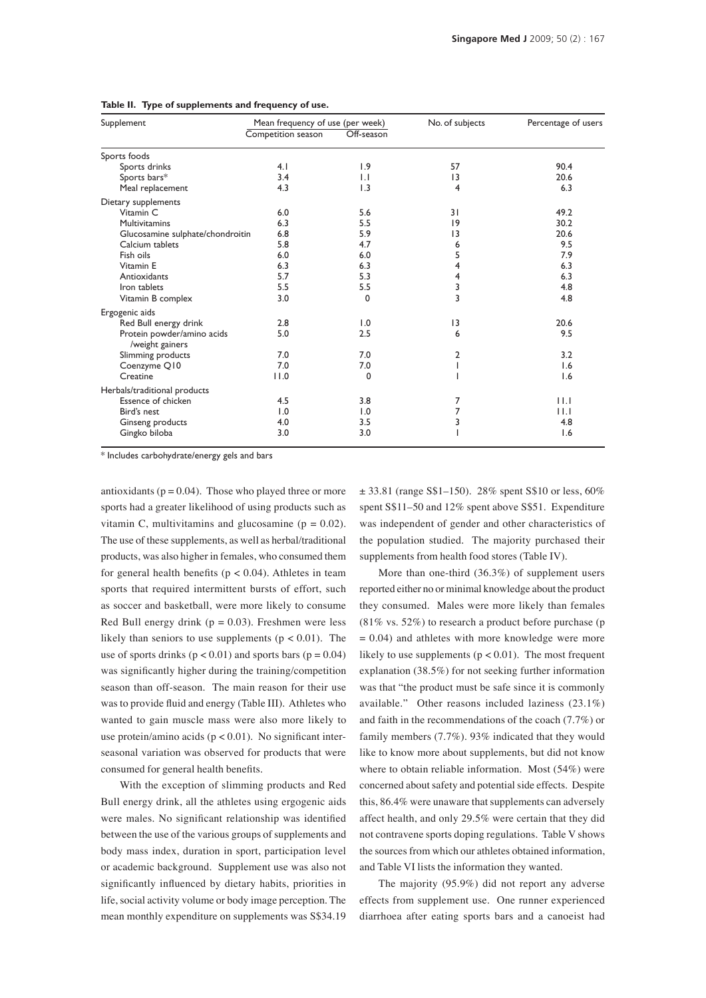| Supplement                                    | Mean frequency of use (per week) |                         | No. of subjects | Percentage of users |
|-----------------------------------------------|----------------------------------|-------------------------|-----------------|---------------------|
|                                               | Competition season               | Off-season              |                 |                     |
| Sports foods                                  |                                  |                         |                 |                     |
| Sports drinks                                 | 4.1                              | 1.9                     | 57              | 90.4                |
| Sports bars*                                  | 3.4                              | $\mathsf{L} \mathsf{L}$ | $\overline{13}$ | 20.6                |
| Meal replacement                              | 4.3                              | 1.3                     | 4               | 6.3                 |
| Dietary supplements                           |                                  |                         |                 |                     |
| Vitamin C                                     | 6.0                              | 5.6                     | 31              | 49.2                |
| Multivitamins                                 | 6.3                              | 5.5                     | 9               | 30.2                |
| Glucosamine sulphate/chondroitin              | 6.8                              | 5.9                     | 13              | 20.6                |
| Calcium tablets                               | 5.8                              | 4.7                     | 6               | 9.5                 |
| Fish oils                                     | 6.0                              | 6.0                     | 5               | 7.9                 |
| Vitamin E                                     | 6.3                              | 6.3                     | 4               | 6.3                 |
| Antioxidants                                  | 5.7                              | 5.3                     | 4               | 6.3                 |
| Iron tablets                                  | 5.5                              | 5.5                     | 3               | 4.8                 |
| Vitamin B complex                             | 3.0                              | 0                       | 3               | 4.8                 |
| Ergogenic aids                                |                                  |                         |                 |                     |
| Red Bull energy drink                         | 2.8                              | 1.0                     | 13              | 20.6                |
| Protein powder/amino acids<br>/weight gainers | 5.0                              | 2.5                     | 6               | 9.5                 |
| Slimming products                             | 7.0                              | 7.0                     | 2               | 3.2                 |
| Coenzyme Q10                                  | 7.0                              | 7.0                     |                 | 1.6                 |
| Creatine                                      | 11.0                             | $\Omega$                |                 | 1.6                 |
| Herbals/traditional products                  |                                  |                         |                 |                     |
| Essence of chicken                            | 4.5                              | 3.8                     | 7               | 11.1                |
| Bird's nest                                   | 1.0                              | 1.0                     | 7               | 11.1                |
| Ginseng products                              | 4.0                              | 3.5                     | 3               | 4.8                 |
| Gingko biloba                                 | 3.0                              | 3.0                     |                 | 1.6                 |

#### **Table II. Type of supplements and frequency of use.**

\* Includes carbohydrate/energy gels and bars

antioxidants ( $p = 0.04$ ). Those who played three or more sports had a greater likelihood of using products such as vitamin C, multivitamins and glucosamine ( $p = 0.02$ ). The use of these supplements, as well as herbal/traditional products, was also higher in females, who consumed them for general health benefits ( $p < 0.04$ ). Athletes in team sports that required intermittent bursts of effort, such as soccer and basketball, were more likely to consume Red Bull energy drink ( $p = 0.03$ ). Freshmen were less likely than seniors to use supplements ( $p < 0.01$ ). The use of sports drinks  $(p < 0.01)$  and sports bars  $(p = 0.04)$ was significantly higher during the training/competition season than off-season. The main reason for their use was to provide fluid and energy (Table III). Athletes who wanted to gain muscle mass were also more likely to use protein/amino acids ( $p < 0.01$ ). No significant interseasonal variation was observed for products that were consumed for general health benefits.

With the exception of slimming products and Red Bull energy drink, all the athletes using ergogenic aids were males. No significant relationship was identified between the use of the various groups of supplements and body mass index, duration in sport, participation level or academic background. Supplement use was also not significantly influenced by dietary habits, priorities in life, social activity volume or body image perception. The mean monthly expenditure on supplements was S\$34.19

 $\pm$  33.81 (range S\$1–150). 28% spent S\$10 or less, 60% spent S\$11–50 and 12% spent above S\$51. Expenditure was independent of gender and other characteristics of the population studied. The majority purchased their supplements from health food stores (Table IV).

More than one-third (36.3%) of supplement users reported either no or minimal knowledge about the product they consumed. Males were more likely than females (81% vs. 52%) to research a product before purchase (p  $= 0.04$ ) and athletes with more knowledge were more likely to use supplements ( $p < 0.01$ ). The most frequent explanation (38.5%) for not seeking further information was that "the product must be safe since it is commonly available." Other reasons included laziness (23.1%) and faith in the recommendations of the coach (7.7%) or family members (7.7%). 93% indicated that they would like to know more about supplements, but did not know where to obtain reliable information. Most (54%) were concerned about safety and potential side effects. Despite this, 86.4% were unaware that supplements can adversely affect health, and only 29.5% were certain that they did not contravene sports doping regulations. Table V shows the sources from which our athletes obtained information, and Table VI lists the information they wanted.

The majority (95.9%) did not report any adverse effects from supplement use. One runner experienced diarrhoea after eating sports bars and a canoeist had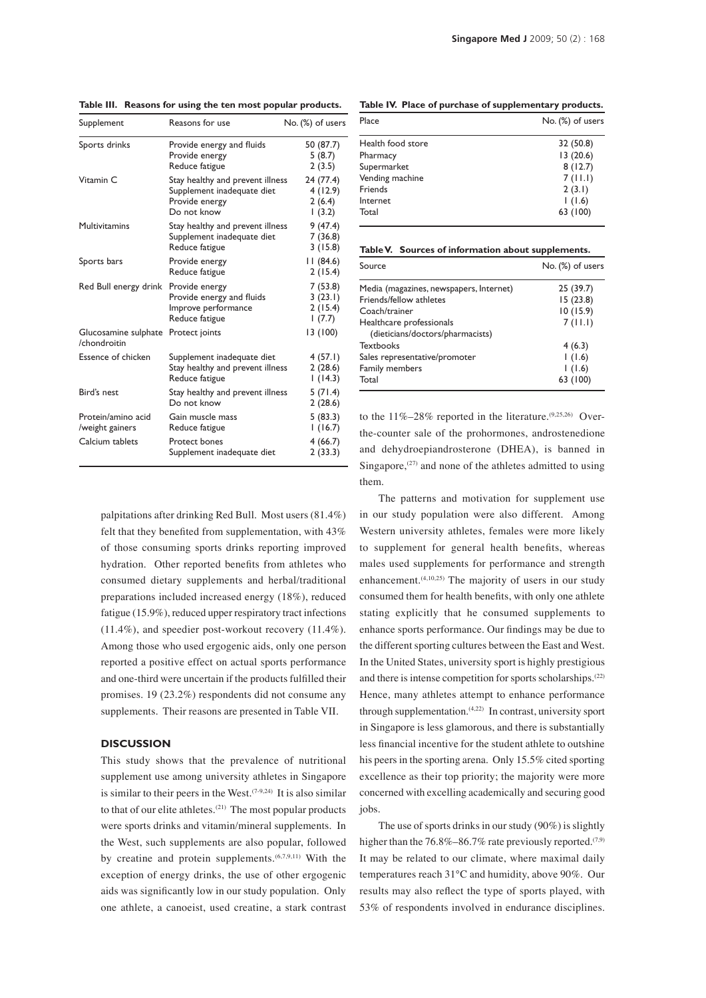| Supplement                            | Reasons for use                                                                                 | No. (%) of users                        |
|---------------------------------------|-------------------------------------------------------------------------------------------------|-----------------------------------------|
| Sports drinks                         | Provide energy and fluids<br>Provide energy<br>Reduce fatigue                                   | 50 (87.7)<br>5(8.7)<br>2(3.5)           |
| Vitamin C                             | Stay healthy and prevent illness<br>Supplement inadequate diet<br>Provide energy<br>Do not know | 24 (77.4)<br>4(12.9)<br>2(6.4)<br>(3.2) |
| <b>Multivitamins</b>                  | Stay healthy and prevent illness<br>Supplement inadequate diet<br>Reduce fatigue                | 9(47.4)<br>7 (36.8)<br>3(15.8)          |
| Sports bars                           | Provide energy<br>Reduce fatigue                                                                | 11 (84.6)<br>2(15.4)                    |
| Red Bull energy drink                 | Provide energy<br>Provide energy and fluids<br>Improve performance<br>Reduce fatigue            | 7(53.8)<br>3(23.1)<br>2(15.4)<br>(7.7)  |
| Glucosamine sulphate<br>/chondroitin  | Protect joints                                                                                  | 13 (100)                                |
| Essence of chicken                    | Supplement inadequate diet<br>Stay healthy and prevent illness<br>Reduce fatigue                | 4(57.1)<br>2(28.6)<br>1(14.3)           |
| Bird's nest                           | Stay healthy and prevent illness<br>Do not know                                                 | 5(71.4)<br>2(28.6)                      |
| Protein/amino acid<br>/weight gainers | Gain muscle mass<br>Reduce fatigue                                                              | 5(83.3)<br>1(16.7)                      |
| Calcium tablets                       | Protect bones<br>Supplement inadequate diet                                                     | 4(66.7)<br>2(33.3)                      |

**Table III. Reasons for using the ten most popular products.**

palpitations after drinking Red Bull. Most users (81.4%) felt that they benefited from supplementation, with 43% of those consuming sports drinks reporting improved hydration. Other reported benefits from athletes who consumed dietary supplements and herbal/traditional preparations included increased energy (18%), reduced fatigue (15.9%), reduced upper respiratory tract infections (11.4%), and speedier post-workout recovery (11.4%). Among those who used ergogenic aids, only one person reported a positive effect on actual sports performance and one-third were uncertain if the products fulfilled their promises. 19 (23.2%) respondents did not consume any supplements. Their reasons are presented in Table VII.

#### **Discussion**

This study shows that the prevalence of nutritional supplement use among university athletes in Singapore is similar to their peers in the West. $(7-9,24)$  It is also similar to that of our elite athletes.<sup>(21)</sup> The most popular products were sports drinks and vitamin/mineral supplements. In the West, such supplements are also popular, followed by creatine and protein supplements. $(6,7,9,11)$  With the exception of energy drinks, the use of other ergogenic aids was significantly low in our study population. Only one athlete, a canoeist, used creatine, a stark contrast

**Table IV. Place of purchase of supplementary products.**

| Place             | No. (%) of users |
|-------------------|------------------|
| Health food store | 32 (50.8)        |
| Pharmacy          | 13(20.6)         |
| Supermarket       | 8(12.7)          |
| Vending machine   | 7(11.1)          |
| Friends           | 2(3.1)           |
| Internet          | 1(1.6)           |
| Total             | 63 (100)         |

|  |  |  | Table V. Sources of information about supplements. |
|--|--|--|----------------------------------------------------|
|--|--|--|----------------------------------------------------|

| Source                                  | No. (%) of users |
|-----------------------------------------|------------------|
| Media (magazines, newspapers, Internet) | 25 (39.7)        |
| Friends/fellow athletes                 | 15 (23.8)        |
| Coach/trainer                           | 10(15.9)         |
| Healthcare professionals                | 7(11.1)          |
| (dieticians/doctors/pharmacists)        |                  |
| <b>Textbooks</b>                        | 4(6.3)           |
| Sales representative/promoter           | 1(1.6)           |
| Family members                          | 1(1.6)           |
| Total                                   | 63 (100)         |

to the  $11\% - 28\%$  reported in the literature.<sup> $(9,25,26)$ </sup> Overthe-counter sale of the prohormones, androstenedione and dehydroepiandrosterone (DHEA), is banned in Singapore, $(27)$  and none of the athletes admitted to using them.

The patterns and motivation for supplement use in our study population were also different. Among Western university athletes, females were more likely to supplement for general health benefits, whereas males used supplements for performance and strength enhancement. $(4,10,25)$  The majority of users in our study consumed them for health benefits, with only one athlete stating explicitly that he consumed supplements to enhance sports performance. Our findings may be due to the different sporting cultures between the East and West. In the United States, university sport is highly prestigious and there is intense competition for sports scholarships.(22) Hence, many athletes attempt to enhance performance through supplementation. $(4,22)$  In contrast, university sport in Singapore is less glamorous, and there is substantially less financial incentive for the student athlete to outshine his peers in the sporting arena. Only 15.5% cited sporting excellence as their top priority; the majority were more concerned with excelling academically and securing good jobs.

The use of sports drinks in our study (90%) is slightly higher than the  $76.8\% - 86.7\%$  rate previously reported.<sup> $(7,9)$ </sup> It may be related to our climate, where maximal daily temperatures reach 31°C and humidity, above 90%. Our results may also reflect the type of sports played, with 53% of respondents involved in endurance disciplines.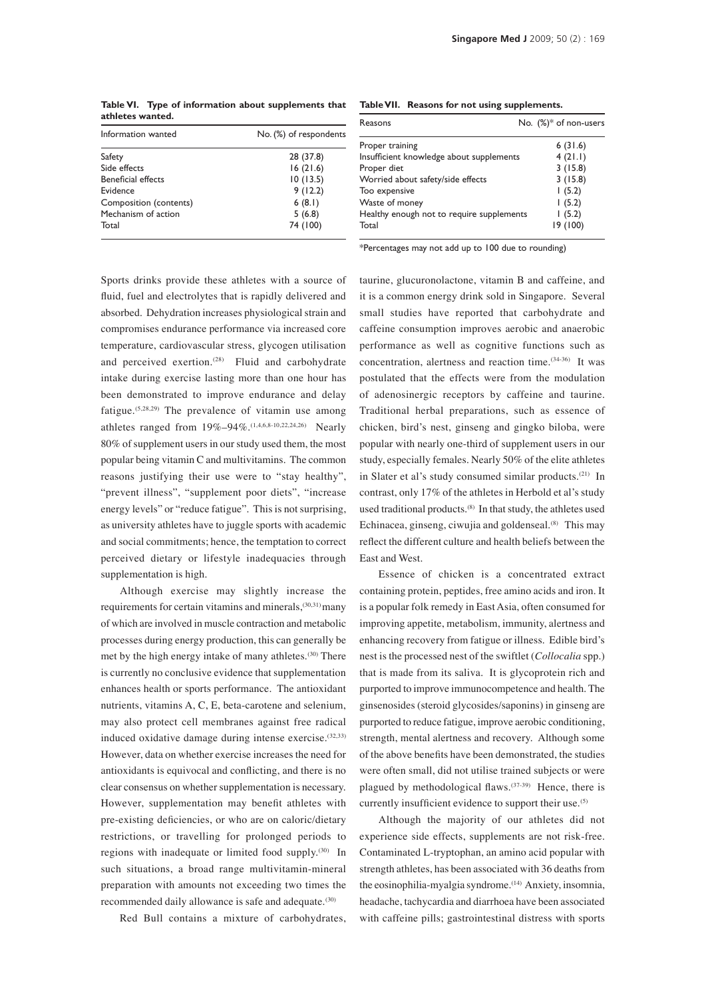**Table VI. Type of information about supplements that athletes wanted.**  Information wanted **No.** (%) of respondents

| Information wanted        | No. (%) of respondents |
|---------------------------|------------------------|
| Safety                    | 28 (37.8)              |
| Side effects              | 16(21.6)               |
| <b>Beneficial effects</b> | 10(13.5)               |
| Evidence                  | 9(12.2)                |
| Composition (contents)    | 6(8.1)                 |
| Mechanism of action       | 5(6.8)                 |
| Total                     | 74 (100)               |

**Table VII. Reasons for not using supplements.**

| Reasons                                   | No. (%)* of non-users |
|-------------------------------------------|-----------------------|
| Proper training                           | 6(31.6)               |
| Insufficient knowledge about supplements  | 4(21.1)               |
| Proper diet                               | 3(15.8)               |
| Worried about safety/side effects         | 3(15.8)               |
| Too expensive                             | 1(5.2)                |
| Waste of money                            | 1(5.2)                |
| Healthy enough not to require supplements | 1(5.2)                |
| Total                                     | 19 (100)              |

\*Percentages may not add up to 100 due to rounding)

Sports drinks provide these athletes with a source of fluid, fuel and electrolytes that is rapidly delivered and absorbed. Dehydration increases physiological strain and compromises endurance performance via increased core temperature, cardiovascular stress, glycogen utilisation and perceived exertion. $(28)$  Fluid and carbohydrate intake during exercise lasting more than one hour has been demonstrated to improve endurance and delay fatigue.(5,28,29) The prevalence of vitamin use among athletes ranged from 19%–94%.(1,4,6,8-10,22,24,26) Nearly 80% of supplement users in our study used them, the most popular being vitamin C and multivitamins. The common reasons justifying their use were to "stay healthy", "prevent illness", "supplement poor diets", "increase energy levels" or "reduce fatigue". This is not surprising, as university athletes have to juggle sports with academic and social commitments; hence, the temptation to correct perceived dietary or lifestyle inadequacies through supplementation is high.

Although exercise may slightly increase the requirements for certain vitamins and minerals,<sup>(30,31)</sup> many of which are involved in muscle contraction and metabolic processes during energy production, this can generally be met by the high energy intake of many athletes.(30) There is currently no conclusive evidence that supplementation enhances health or sports performance. The antioxidant nutrients, vitamins A, C, E, beta-carotene and selenium, may also protect cell membranes against free radical induced oxidative damage during intense exercise.<sup>(32,33)</sup> However, data on whether exercise increases the need for antioxidants is equivocal and conflicting, and there is no clear consensus on whether supplementation is necessary. However, supplementation may benefit athletes with pre-existing deficiencies, or who are on caloric/dietary restrictions, or travelling for prolonged periods to regions with inadequate or limited food supply.<sup>(30)</sup> In such situations, a broad range multivitamin-mineral preparation with amounts not exceeding two times the recommended daily allowance is safe and adequate.<sup>(30)</sup>

Red Bull contains a mixture of carbohydrates,

taurine, glucuronolactone, vitamin B and caffeine, and it is a common energy drink sold in Singapore. Several small studies have reported that carbohydrate and caffeine consumption improves aerobic and anaerobic performance as well as cognitive functions such as concentration, alertness and reaction time.(34-36) It was postulated that the effects were from the modulation of adenosinergic receptors by caffeine and taurine. Traditional herbal preparations, such as essence of chicken, bird's nest, ginseng and gingko biloba, were popular with nearly one-third of supplement users in our study, especially females. Nearly 50% of the elite athletes in Slater et al's study consumed similar products.<sup>(21)</sup> In contrast, only 17% of the athletes in Herbold et al's study used traditional products.<sup>(8)</sup> In that study, the athletes used Echinacea, ginseng, ciwujia and goldenseal.<sup>(8)</sup> This may reflect the different culture and health beliefs between the East and West.

Essence of chicken is a concentrated extract containing protein, peptides, free amino acids and iron. It is a popular folk remedy in East Asia, often consumed for improving appetite, metabolism, immunity, alertness and enhancing recovery from fatigue or illness. Edible bird's nest is the processed nest of the swiftlet (*Collocalia* spp.) that is made from its saliva. It is glycoprotein rich and purported to improve immunocompetence and health. The ginsenosides (steroid glycosides/saponins) in ginseng are purported to reduce fatigue, improve aerobic conditioning, strength, mental alertness and recovery. Although some of the above benefits have been demonstrated, the studies were often small, did not utilise trained subjects or were plagued by methodological flaws.(37-39) Hence, there is currently insufficient evidence to support their use.<sup>(5)</sup>

Although the majority of our athletes did not experience side effects, supplements are not risk-free. Contaminated L-tryptophan, an amino acid popular with strength athletes, has been associated with 36 deaths from the eosinophilia-myalgia syndrome.(14) Anxiety, insomnia, headache, tachycardia and diarrhoea have been associated with caffeine pills; gastrointestinal distress with sports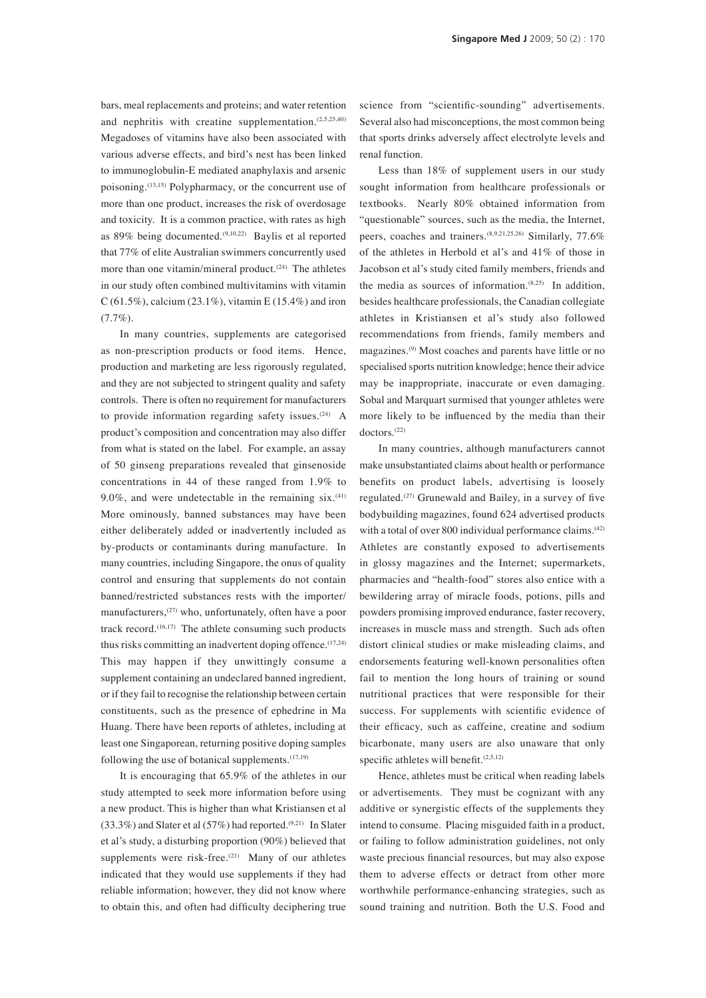bars, meal replacements and proteins; and water retention and nephritis with creatine supplementation.<sup>(2,5,25,40)</sup> Megadoses of vitamins have also been associated with various adverse effects, and bird's nest has been linked to immunoglobulin-E mediated anaphylaxis and arsenic poisoning.(13,15) Polypharmacy, or the concurrent use of more than one product, increases the risk of overdosage and toxicity. It is a common practice, with rates as high as  $89\%$  being documented.<sup>(9,10,22)</sup> Baylis et al reported that 77% of elite Australian swimmers concurrently used more than one vitamin/mineral product. $(24)$  The athletes in our study often combined multivitamins with vitamin  $C(61.5\%)$ , calcium (23.1%), vitamin E (15.4%) and iron (7.7%).

In many countries, supplements are categorised as non-prescription products or food items. Hence, production and marketing are less rigorously regulated, and they are not subjected to stringent quality and safety controls. There is often no requirement for manufacturers to provide information regarding safety issues. $(24)$  A product's composition and concentration may also differ from what is stated on the label. For example, an assay of 50 ginseng preparations revealed that ginsenoside concentrations in 44 of these ranged from 1.9% to 9.0%, and were undetectable in the remaining  $s$ ix.<sup>(41)</sup> More ominously, banned substances may have been either deliberately added or inadvertently included as by-products or contaminants during manufacture. In many countries, including Singapore, the onus of quality control and ensuring that supplements do not contain banned/restricted substances rests with the importer/ manufacturers,<sup>(27)</sup> who, unfortunately, often have a poor track record. $(16,17)$  The athlete consuming such products thus risks committing an inadvertent doping offence.  $(17,24)$ This may happen if they unwittingly consume a supplement containing an undeclared banned ingredient, or if they fail to recognise the relationship between certain constituents, such as the presence of ephedrine in Ma Huang. There have been reports of athletes, including at least one Singaporean, returning positive doping samples following the use of botanical supplements. $(17,19)$ 

It is encouraging that 65.9% of the athletes in our study attempted to seek more information before using a new product. This is higher than what Kristiansen et al  $(33.3\%)$  and Slater et al  $(57\%)$  had reported.<sup> $(9,21)$ </sup> In Slater et al's study, a disturbing proportion (90%) believed that supplements were risk-free. $(21)$  Many of our athletes indicated that they would use supplements if they had reliable information; however, they did not know where to obtain this, and often had difficulty deciphering true science from "scientific-sounding" advertisements. Several also had misconceptions, the most common being that sports drinks adversely affect electrolyte levels and renal function.

Less than 18% of supplement users in our study sought information from healthcare professionals or textbooks. Nearly 80% obtained information from "questionable" sources, such as the media, the Internet, peers, coaches and trainers.(8,9,21,25,26) Similarly, 77.6% of the athletes in Herbold et al's and 41% of those in Jacobson et al's study cited family members, friends and the media as sources of information. $(8,25)$  In addition, besides healthcare professionals, the Canadian collegiate athletes in Kristiansen et al's study also followed recommendations from friends, family members and magazines.(9) Most coaches and parents have little or no specialised sports nutrition knowledge; hence their advice may be inappropriate, inaccurate or even damaging. Sobal and Marquart surmised that younger athletes were more likely to be influenced by the media than their doctors.<sup>(22)</sup>

In many countries, although manufacturers cannot make unsubstantiated claims about health or performance benefits on product labels, advertising is loosely regulated.(27) Grunewald and Bailey, in a survey of five bodybuilding magazines, found 624 advertised products with a total of over 800 individual performance claims.<sup>(42)</sup> Athletes are constantly exposed to advertisements in glossy magazines and the Internet; supermarkets, pharmacies and "health-food" stores also entice with a bewildering array of miracle foods, potions, pills and powders promising improved endurance, faster recovery, increases in muscle mass and strength. Such ads often distort clinical studies or make misleading claims, and endorsements featuring well-known personalities often fail to mention the long hours of training or sound nutritional practices that were responsible for their success. For supplements with scientific evidence of their efficacy, such as caffeine, creatine and sodium bicarbonate, many users are also unaware that only specific athletes will benefit.<sup>(2,5,12)</sup>

Hence, athletes must be critical when reading labels or advertisements. They must be cognizant with any additive or synergistic effects of the supplements they intend to consume. Placing misguided faith in a product, or failing to follow administration guidelines, not only waste precious financial resources, but may also expose them to adverse effects or detract from other more worthwhile performance-enhancing strategies, such as sound training and nutrition. Both the U.S. Food and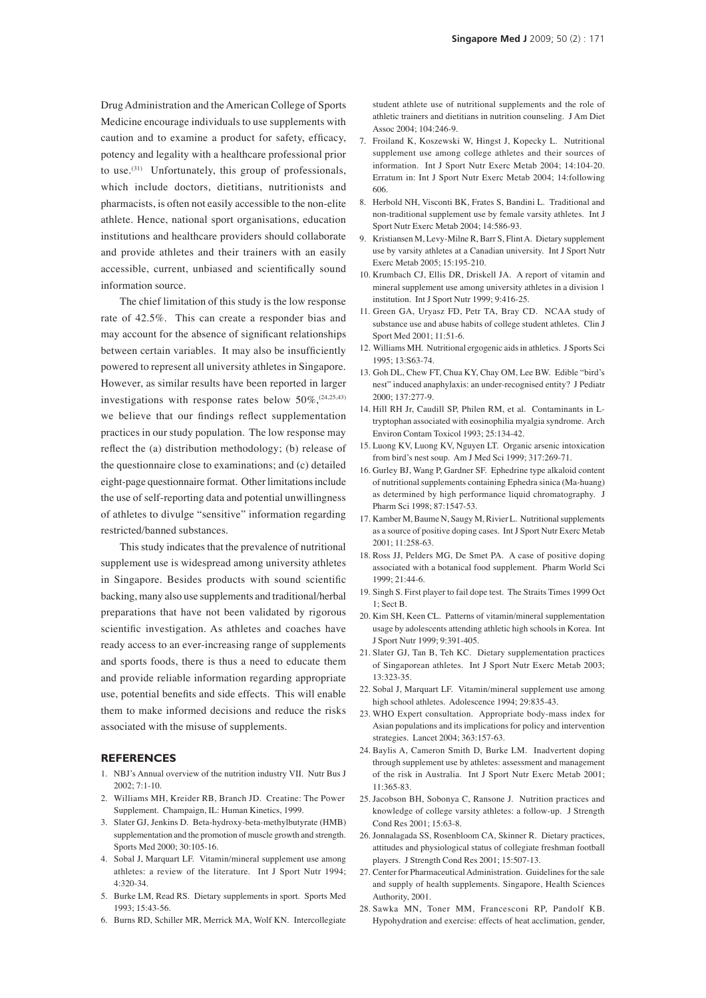Drug Administration and the American College of Sports Medicine encourage individuals to use supplements with caution and to examine a product for safety, efficacy, potency and legality with a healthcare professional prior to use.(31) Unfortunately, this group of professionals, which include doctors, dietitians, nutritionists and pharmacists, is often not easily accessible to the non-elite athlete. Hence, national sport organisations, education institutions and healthcare providers should collaborate and provide athletes and their trainers with an easily accessible, current, unbiased and scientifically sound information source.

The chief limitation of this study is the low response rate of 42.5%. This can create a responder bias and may account for the absence of significant relationships between certain variables. It may also be insufficiently powered to represent all university athletes in Singapore. However, as similar results have been reported in larger investigations with response rates below  $50\%$ ,  $(24,25,43)$ we believe that our findings reflect supplementation practices in our study population. The low response may reflect the (a) distribution methodology; (b) release of the questionnaire close to examinations; and (c) detailed eight-page questionnaire format. Other limitations include the use of self-reporting data and potential unwillingness of athletes to divulge "sensitive" information regarding restricted/banned substances.

This study indicates that the prevalence of nutritional supplement use is widespread among university athletes in Singapore. Besides products with sound scientific backing, many also use supplements and traditional/herbal preparations that have not been validated by rigorous scientific investigation. As athletes and coaches have ready access to an ever-increasing range of supplements and sports foods, there is thus a need to educate them and provide reliable information regarding appropriate use, potential benefits and side effects. This will enable them to make informed decisions and reduce the risks associated with the misuse of supplements.

# **References**

- 1. NBJ's Annual overview of the nutrition industry VII. Nutr Bus J 2002; 7:1-10.
- 2. Williams MH, Kreider RB, Branch JD. Creatine: The Power Supplement. Champaign, IL: Human Kinetics, 1999.
- 3. Slater GJ, Jenkins D. Beta-hydroxy-beta-methylbutyrate (HMB) supplementation and the promotion of muscle growth and strength. Sports Med 2000; 30:105-16.
- 4. Sobal J, Marquart LF. Vitamin/mineral supplement use among athletes: a review of the literature. Int J Sport Nutr 1994; 4:320-34.
- 5. Burke LM, Read RS. Dietary supplements in sport. Sports Med 1993; 15:43-56.
- 6. Burns RD, Schiller MR, Merrick MA, Wolf KN. Intercollegiate

student athlete use of nutritional supplements and the role of athletic trainers and dietitians in nutrition counseling. J Am Diet Assoc 2004; 104:246-9.

- 7. Froiland K, Koszewski W, Hingst J, Kopecky L. Nutritional supplement use among college athletes and their sources of information. Int J Sport Nutr Exerc Metab 2004; 14:104-20. Erratum in: Int J Sport Nutr Exerc Metab 2004; 14:following 606.
- 8. Herbold NH, Visconti BK, Frates S, Bandini L. Traditional and non-traditional supplement use by female varsity athletes. Int J Sport Nutr Exerc Metab 2004; 14:586-93.
- 9. Kristiansen M, Levy-Milne R, Barr S, Flint A. Dietary supplement use by varsity athletes at a Canadian university. Int J Sport Nutr Exerc Metab 2005; 15:195-210.
- 10. Krumbach CJ, Ellis DR, Driskell JA. A report of vitamin and mineral supplement use among university athletes in a division 1 institution. Int J Sport Nutr 1999; 9:416-25.
- 11. Green GA, Uryasz FD, Petr TA, Bray CD. NCAA study of substance use and abuse habits of college student athletes. Clin J Sport Med  $2001:11:51-6$ .
- 12. Williams MH. Nutritional ergogenic aids in athletics. J Sports Sci 1995; 13:S63-74.
- 13. Goh DL, Chew FT, Chua KY, Chay OM, Lee BW. Edible "bird's nest" induced anaphylaxis: an under-recognised entity? J Pediatr 2000; 137:277-9.
- 14. Hill RH Jr, Caudill SP, Philen RM, et al. Contaminants in Ltryptophan associated with eosinophilia myalgia syndrome. Arch Environ Contam Toxicol 1993; 25:134-42.
- 15. Luong KV, Luong KV, Nguyen LT. Organic arsenic intoxication from bird's nest soup. Am J Med Sci 1999; 317:269-71.
- 16. Gurley BJ, Wang P, Gardner SF. Ephedrine type alkaloid content of nutritional supplements containing Ephedra sinica (Ma-huang) as determined by high performance liquid chromatography. J Pharm Sci 1998; 87:1547-53.
- 17. Kamber M, Baume N, Saugy M, Rivier L. Nutritional supplements as a source of positive doping cases. Int J Sport Nutr Exerc Metab  $2001 \cdot 11:258-63$ .
- 18. Ross JJ, Pelders MG, De Smet PA. A case of positive doping associated with a botanical food supplement. Pharm World Sci 1999; 21:44-6.
- 19. Singh S. First player to fail dope test. The Straits Times 1999 Oct 1; Sect B.
- 20. Kim SH, Keen CL. Patterns of vitamin/mineral supplementation usage by adolescents attending athletic high schools in Korea. Int J Sport Nutr 1999; 9:391-405.
- 21. Slater GJ, Tan B, Teh KC. Dietary supplementation practices of Singaporean athletes. Int J Sport Nutr Exerc Metab 2003; 13:323-35.
- 22. Sobal J, Marquart LF. Vitamin/mineral supplement use among high school athletes. Adolescence 1994; 29:835-43.
- 23. WHO Expert consultation. Appropriate body-mass index for Asian populations and its implications for policy and intervention strategies. Lancet 2004; 363:157-63.
- 24. Baylis A, Cameron Smith D, Burke LM. Inadvertent doping through supplement use by athletes: assessment and management of the risk in Australia. Int J Sport Nutr Exerc Metab 2001; 11:365-83.
- 25. Jacobson BH, Sobonya C, Ransone J. Nutrition practices and knowledge of college varsity athletes: a follow-up. J Strength Cond Res 2001; 15:63-8.
- 26. Jonnalagada SS, Rosenbloom CA, Skinner R. Dietary practices, attitudes and physiological status of collegiate freshman football players. J Strength Cond Res 2001; 15:507-13.
- 27. Center for Pharmaceutical Administration. Guidelines for the sale and supply of health supplements. Singapore, Health Sciences Authority, 2001.
- 28. Sawka MN, Toner MM, Francesconi RP, Pandolf KB. Hypohydration and exercise: effects of heat acclimation, gender,